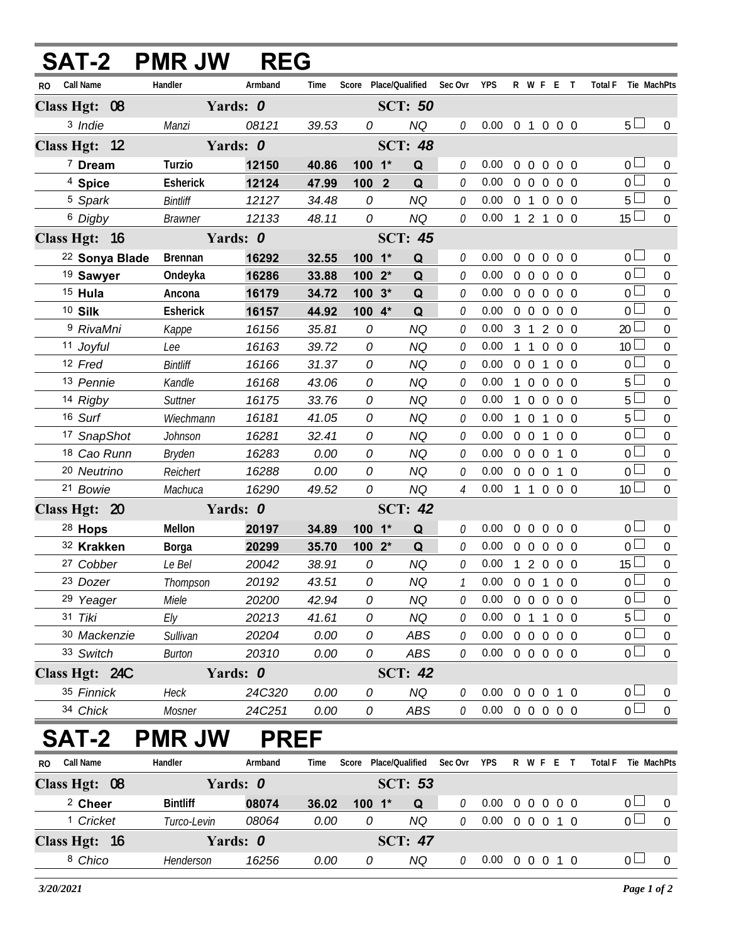| <b>SAT-2</b>         | <b>PMR JW</b>   | <b>REG</b>  |       |            |                       |                |                            |            |                   |            |                               |                  |
|----------------------|-----------------|-------------|-------|------------|-----------------------|----------------|----------------------------|------------|-------------------|------------|-------------------------------|------------------|
| Call Name<br>RO      | Handler         | Armband     | Time  |            | Score Place/Qualified | Sec Ovr        | <b>YPS</b>                 |            | R W F E T         |            | Total F Tie MachPts           |                  |
| Class Hgt: 08        |                 | Yards: 0    |       |            | <b>SCT: 50</b>        |                |                            |            |                   |            |                               |                  |
| 3 Indie              | Manzi           | 08121       | 39.53 | 0          | NQ                    | 0              | 0.00                       |            | 0 1 0 0 0         |            | 5 <sub>1</sub>                | $\overline{0}$   |
| Class Hgt: 12        |                 | Yards: 0    |       |            | <b>SCT: 48</b>        |                |                            |            |                   |            |                               |                  |
| 7 Dream              | Turzio          | 12150       | 40.86 | 100 1*     | Q                     | 0              | 0.00                       |            | 0 0 0 0 0         |            | 0 <sub>0</sub>                | $\overline{0}$   |
| <sup>4</sup> Spice   | Esherick        | 12124       | 47.99 | $1002$     | Q                     | 0              | 0.00                       |            | $0\quad 0\quad 0$ | $0\quad 0$ | 0 <sup>1</sup>                | $\overline{0}$   |
| <sup>5</sup> Spark   | Bintliff        | 12127       | 34.48 | 0          | <b>NQ</b>             | 0              | 0.00                       |            | 0 1 0 0 0         |            | 5 <sub>1</sub>                | $\overline{0}$   |
| <sup>6</sup> Digby   | <b>Brawner</b>  | 12133       | 48.11 | 0          | <b>NQ</b>             | 0              | 0.00                       |            | 1 2 1 0 0         |            | $15 \perp$                    | $\overline{0}$   |
| Class Hgt: 16        |                 | Yards: 0    |       |            | <b>SCT: 45</b>        |                |                            |            |                   |            |                               |                  |
| 22 Sonya Blade       | <b>Brennan</b>  | 16292       | 32.55 | $100 - 1*$ | Q                     | 0              | 0.00                       | $0\quad 0$ | $\overline{0}$    | $0\quad 0$ | 0 <sup>L</sup>                | $\overline{0}$   |
| <sup>19</sup> Sawyer | Ondeyka         | 16286       | 33.88 | 100        | Q<br>$2^*$            | 0              | 0.00                       |            | $0\quad 0\quad 0$ | $0\quad 0$ | 0 <sup>1</sup>                | $\overline{0}$   |
| $15$ Hula            | Ancona          | 16179       | 34.72 | 100        | $3*$<br>Q             | 0              | 0.00                       |            | 00000             |            | 0 <sup>1</sup>                | $\overline{0}$   |
| <sup>10</sup> Silk   | Esherick        | 16157       | 44.92 | 100 4*     | Q                     | 0              | 0.00                       |            | $0\quad 0\quad 0$ | $0\quad 0$ | 0 <sup>1</sup>                | $\overline{0}$   |
| <sup>9</sup> RivaMni | Kappe           | 16156       | 35.81 | 0          | <b>NQ</b>             | 0              | 0.00                       |            | 3 1 2 0 0         |            | 20 <sup>1</sup>               | $\Omega$         |
| 11 Joyful            | Lee             | 16163       | 39.72 | 0          | <b>NQ</b>             | 0              | 0.00                       | $1\quad1$  | $\overline{0}$    | $0\quad 0$ | 10 <sup>1</sup>               | $\Omega$         |
| 12 Fred              | Bintliff        | 16166       | 31.37 | 0          | <b>NQ</b>             | 0              | 0.00                       | $0\quad 0$ | $\mathbf{1}$      | $0\quad 0$ | 0 <sup>1</sup>                | $\mathbf{0}$     |
| 13 Pennie            | Kandle          | 16168       | 43.06 | 0          | <b>NQ</b>             | 0              | 0.00                       | $1\quad 0$ | $\overline{0}$    | $0\quad 0$ | 5 <sup>1</sup>                | $\Omega$         |
| 14 Rigby             | Suttner         | 16175       | 33.76 | 0          | <b>NQ</b>             | 0              | 0.00                       | $1\quad0$  | $\overline{0}$    | $0\quad 0$ | $5^{\frac{1}{2}}$             | $\overline{0}$   |
| 16 Surf              | Wiechmann       | 16181       | 41.05 | 0          | <b>NQ</b>             | 0              | 0.00                       | $1\quad 0$ | $\mathbf{1}$      | $0\quad 0$ | 5 <sup>1</sup>                | $\Omega$         |
| 17 SnapShot          | Johnson         | 16281       | 32.41 | 0          | <b>NQ</b>             | 0              | 0.00                       | $0\quad 0$ | $\mathbf{1}$      | $0\quad 0$ | $\overline{0}$                | $\mathbf{0}$     |
| 18 Cao Runn          | <b>Bryden</b>   | 16283       | 0.00  | 0          | <b>NQ</b>             | 0              | 0.00                       | $0\quad 0$ | $\overline{0}$    | $1\quad0$  | $0-$                          | $\boldsymbol{0}$ |
| 20 Neutrino          | Reichert        | 16288       | 0.00  | 0          | <b>NQ</b>             | 0              | 0.00                       |            | $0\quad 0\quad 0$ | $1\quad 0$ | $\overline{0}$                | $\mathbf 0$      |
| 21 Bowie             | Machuca         | 16290       | 49.52 | 0          | NQ                    | $\overline{4}$ | 0.00                       |            | 1 1 0 0 0         |            | 10 <sup>1</sup>               | $\overline{0}$   |
| Class Hgt: 20        |                 | Yards: 0    |       |            | <b>SCT: 42</b>        |                |                            |            |                   |            |                               |                  |
| $28$ Hops            | Mellon          | 20197       | 34.89 | $100 - 1*$ | Q                     | 0              | 0.00                       | $0\quad 0$ | $\overline{0}$    | $0\quad 0$ | $0\Box$                       | $\overline{0}$   |
| 32 Krakken           | Borga           | 20299       | 35.70 | 100        | $2^*$<br>Q            | $\theta$       | 0.00                       |            | $0\quad 0\quad 0$ | $0\quad 0$ | $\overline{0}$                | $\boldsymbol{0}$ |
| 27 Cobber            | Le Bel          | 20042       | 38.91 | 0          | <b>NQ</b>             | 0              | 0.00                       |            | 1 2 0 0 0         |            | $15\Box$                      | $\mathbf 0$      |
| 23 Dozer             | Thompson        | 20192       | 43.51 | 0          | NQ                    | $\mathcal{I}$  | $0.00 \t0 \t0 \t1 \t0 \t0$ |            |                   |            | 0 <sup>2</sup>                | $\overline{0}$   |
| 29 Yeager            | Miele           | 20200       | 42.94 | 0          | <b>NQ</b>             | 0              | 0.00                       |            | 0 0 0 0 0         |            | $\overline{0}$                | $\overline{0}$   |
| 31 Tiki              | Ely             | 20213       | 41.61 | 0          | <b>NQ</b>             | 0              | 0.00                       |            | $0$ 1 1           | $0\quad 0$ | $5^{\frac{1}{2}}$             | $\boldsymbol{0}$ |
| 30 Mackenzie         | Sullivan        | 20204       | 0.00  | 0          | ABS                   | 0              | 0.00                       |            | 0 0 0 0 0         |            | $\overline{0}$                | $\boldsymbol{0}$ |
| 33 Switch            | <b>Burton</b>   | 20310       | 0.00  | 0          | ABS                   | 0              | 0.00                       |            | 0 0 0 0 0         |            | $\overline{0}$ $\Box$         | $\mathbf 0$      |
| Class Hgt: 24C       |                 | Yards: 0    |       |            | <b>SCT: 42</b>        |                |                            |            |                   |            |                               |                  |
| 35 Finnick           | <b>Heck</b>     | 24C320      | 0.00  | 0          | NQ                    | 0              | 0.00                       |            | 0 0 0 1 0         |            | 0 <sub>0</sub>                | $\overline{0}$   |
| 34 Chick             | Mosner          | 24C251      | 0.00  | 0          | ABS                   | 0              | $0.00 \t0 \t0 \t0 \t0 \t0$ |            |                   |            | $\overline{0}$                | $\overline{0}$   |
| <b>SAT-2</b>         | <b>PMR JW</b>   | <b>PREF</b> |       |            |                       |                |                            |            |                   |            |                               |                  |
| RO Call Name         | Handler         | Armband     | Time  |            | Score Place/Qualified | Sec Ovr        | YPS                        |            | R W F E T         |            | <b>Total F</b><br>Tie MachPts |                  |
| Class Hgt: 08        |                 | Yards: 0    |       |            | <b>SCT: 53</b>        |                |                            |            |                   |            |                               |                  |
| <sup>2</sup> Cheer   | <b>Bintliff</b> | 08074       | 36.02 | $100 - 1*$ | $\mathbf Q$           | 0              | 0.00                       |            | 0 0 0 0 0         |            | 0 <sub>0</sub>                | $\overline{0}$   |
| <sup>1</sup> Cricket | Turco-Levin     | 08064       | 0.00  | 0          | NQ                    | 0              | $0.00 \t0 \t0 \t0 \t1 \t0$ |            |                   |            | $\overline{0}$                | $\overline{0}$   |
| Class Hgt: 16        |                 | Yards: 0    |       |            | <b>SCT: 47</b>        |                |                            |            |                   |            |                               |                  |
| 8 Chico              | Henderson       | 16256       | 0.00  | 0          | NQ                    | 0              | $0.00 \t0 \t0 \t0 \t1 \t0$ |            |                   |            | 0 <sub>0</sub>                | $\overline{0}$   |